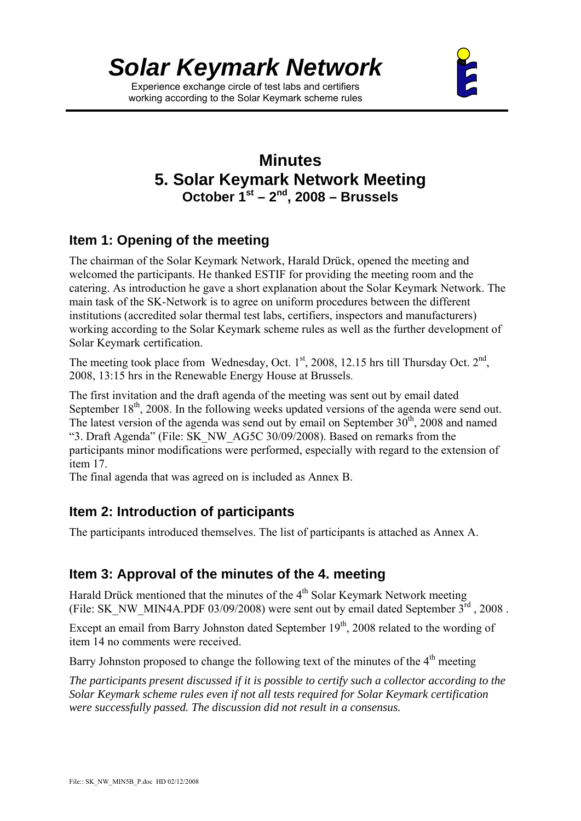

Experience exchange circle of test labs and certifiers working according to the Solar Keymark scheme rules



# **Minutes 5. Solar Keymark Network Meeting October 1st – 2nd, 2008 – Brussels**

# **Item 1: Opening of the meeting**

The chairman of the Solar Keymark Network, Harald Drück, opened the meeting and welcomed the participants. He thanked ESTIF for providing the meeting room and the catering. As introduction he gave a short explanation about the Solar Keymark Network. The main task of the SK-Network is to agree on uniform procedures between the different institutions (accredited solar thermal test labs, certifiers, inspectors and manufacturers) working according to the Solar Keymark scheme rules as well as the further development of Solar Keymark certification.

The meeting took place from Wednesday, Oct.  $1<sup>st</sup>$ , 2008, 12.15 hrs till Thursday Oct.  $2<sup>nd</sup>$ , 2008, 13:15 hrs in the Renewable Energy House at Brussels.

The first invitation and the draft agenda of the meeting was sent out by email dated September  $18<sup>th</sup>$ , 2008. In the following weeks updated versions of the agenda were send out. The latest version of the agenda was send out by email on September  $30<sup>th</sup>$ , 2008 and named "3. Draft Agenda" (File: SK\_NW\_AG5C 30/09/2008). Based on remarks from the participants minor modifications were performed, especially with regard to the extension of item 17.

The final agenda that was agreed on is included as Annex B.

# **Item 2: Introduction of participants**

The participants introduced themselves. The list of participants is attached as Annex A.

# **Item 3: Approval of the minutes of the 4. meeting**

Harald Drück mentioned that the minutes of the 4<sup>th</sup> Solar Keymark Network meeting (File: SK\_NW\_MIN4A.PDF 03/09/2008) were sent out by email dated September 3rd , 2008 .

Except an email from Barry Johnston dated September  $19<sup>th</sup>$ , 2008 related to the wording of item 14 no comments were received.

Barry Johnston proposed to change the following text of the minutes of the  $4<sup>th</sup>$  meeting

*The participants present discussed if it is possible to certify such a collector according to the Solar Keymark scheme rules even if not all tests required for Solar Keymark certification were successfully passed. The discussion did not result in a consensus.*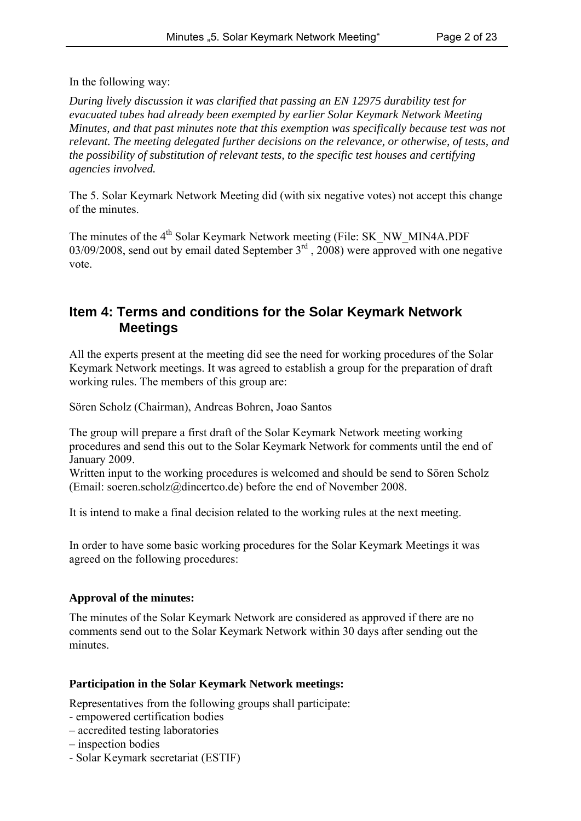In the following way:

*During lively discussion it was clarified that passing an EN 12975 durability test for evacuated tubes had already been exempted by earlier Solar Keymark Network Meeting Minutes, and that past minutes note that this exemption was specifically because test was not relevant. The meeting delegated further decisions on the relevance, or otherwise, of tests, and the possibility of substitution of relevant tests, to the specific test houses and certifying agencies involved.*

The 5. Solar Keymark Network Meeting did (with six negative votes) not accept this change of the minutes.

The minutes of the 4<sup>th</sup> Solar Keymark Network meeting (File: SK\_NW\_MIN4A.PDF 03/09/2008, send out by email dated September 3<sup>rd</sup>, 2008) were approved with one negative vote.

### **Item 4: Terms and conditions for the Solar Keymark Network Meetings**

All the experts present at the meeting did see the need for working procedures of the Solar Keymark Network meetings. It was agreed to establish a group for the preparation of draft working rules. The members of this group are:

Sören Scholz (Chairman), Andreas Bohren, Joao Santos

The group will prepare a first draft of the Solar Keymark Network meeting working procedures and send this out to the Solar Keymark Network for comments until the end of January 2009.

Written input to the working procedures is welcomed and should be send to Sören Scholz (Email: soeren.scholz@dincertco.de) before the end of November 2008.

It is intend to make a final decision related to the working rules at the next meeting.

In order to have some basic working procedures for the Solar Keymark Meetings it was agreed on the following procedures:

#### **Approval of the minutes:**

The minutes of the Solar Keymark Network are considered as approved if there are no comments send out to the Solar Keymark Network within 30 days after sending out the minutes.

#### **Participation in the Solar Keymark Network meetings:**

Representatives from the following groups shall participate:

- empowered certification bodies
- accredited testing laboratories
- inspection bodies
- Solar Keymark secretariat (ESTIF)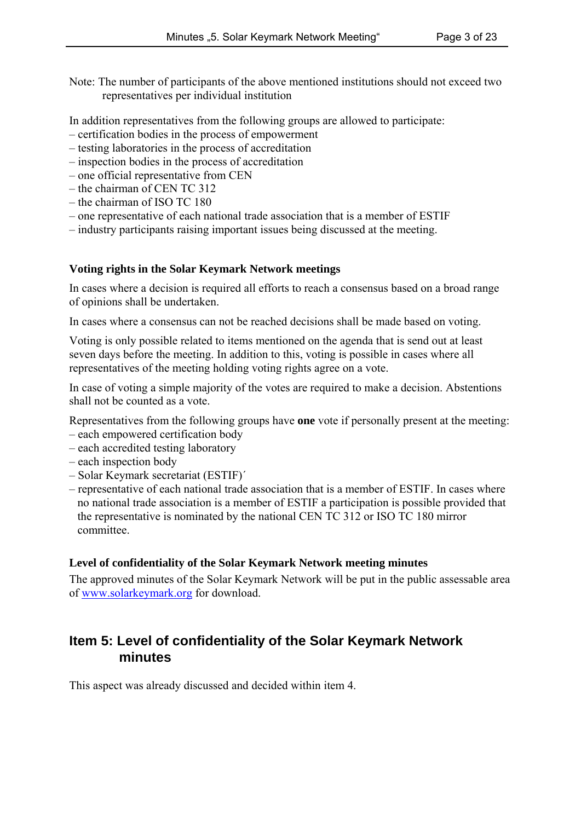Note: The number of participants of the above mentioned institutions should not exceed two representatives per individual institution

In addition representatives from the following groups are allowed to participate:

- certification bodies in the process of empowerment
- testing laboratories in the process of accreditation
- inspection bodies in the process of accreditation
- one official representative from CEN
- the chairman of CEN TC 312
- the chairman of ISO TC 180
- one representative of each national trade association that is a member of ESTIF
- industry participants raising important issues being discussed at the meeting.

#### **Voting rights in the Solar Keymark Network meetings**

In cases where a decision is required all efforts to reach a consensus based on a broad range of opinions shall be undertaken.

In cases where a consensus can not be reached decisions shall be made based on voting.

Voting is only possible related to items mentioned on the agenda that is send out at least seven days before the meeting. In addition to this, voting is possible in cases where all representatives of the meeting holding voting rights agree on a vote.

In case of voting a simple majority of the votes are required to make a decision. Abstentions shall not be counted as a vote.

Representatives from the following groups have **one** vote if personally present at the meeting:

- each empowered certification body
- each accredited testing laboratory
- each inspection body
- Solar Keymark secretariat (ESTIF)´
- representative of each national trade association that is a member of ESTIF. In cases where no national trade association is a member of ESTIF a participation is possible provided that the representative is nominated by the national CEN TC 312 or ISO TC 180 mirror committee.

#### **Level of confidentiality of the Solar Keymark Network meeting minutes**

The approved minutes of the Solar Keymark Network will be put in the public assessable area of www.solarkeymark.org for download.

#### **Item 5: Level of confidentiality of the Solar Keymark Network minutes**

This aspect was already discussed and decided within item 4.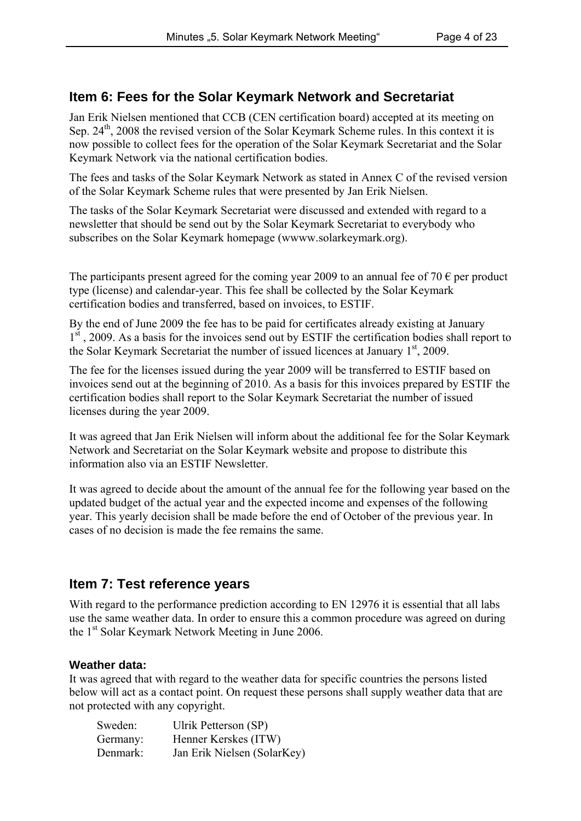# **Item 6: Fees for the Solar Keymark Network and Secretariat**

Jan Erik Nielsen mentioned that CCB (CEN certification board) accepted at its meeting on Sep.  $24<sup>th</sup>$ , 2008 the revised version of the Solar Keymark Scheme rules. In this context it is now possible to collect fees for the operation of the Solar Keymark Secretariat and the Solar Keymark Network via the national certification bodies.

The fees and tasks of the Solar Keymark Network as stated in Annex C of the revised version of the Solar Keymark Scheme rules that were presented by Jan Erik Nielsen.

The tasks of the Solar Keymark Secretariat were discussed and extended with regard to a newsletter that should be send out by the Solar Keymark Secretariat to everybody who subscribes on the Solar Keymark homepage (wwww.solarkeymark.org).

The participants present agreed for the coming year 2009 to an annual fee of 70  $\epsilon$  per product type (license) and calendar-year. This fee shall be collected by the Solar Keymark certification bodies and transferred, based on invoices, to ESTIF.

By the end of June 2009 the fee has to be paid for certificates already existing at January 1st, 2009. As a basis for the invoices send out by ESTIF the certification bodies shall report to the Solar Keymark Secretariat the number of issued licences at January  $1<sup>st</sup>$ , 2009.

The fee for the licenses issued during the year 2009 will be transferred to ESTIF based on invoices send out at the beginning of 2010. As a basis for this invoices prepared by ESTIF the certification bodies shall report to the Solar Keymark Secretariat the number of issued licenses during the year 2009.

It was agreed that Jan Erik Nielsen will inform about the additional fee for the Solar Keymark Network and Secretariat on the Solar Keymark website and propose to distribute this information also via an ESTIF Newsletter.

It was agreed to decide about the amount of the annual fee for the following year based on the updated budget of the actual year and the expected income and expenses of the following year. This yearly decision shall be made before the end of October of the previous year. In cases of no decision is made the fee remains the same.

#### **Item 7: Test reference years**

With regard to the performance prediction according to EN 12976 it is essential that all labs use the same weather data. In order to ensure this a common procedure was agreed on during the 1<sup>st</sup> Solar Keymark Network Meeting in June 2006.

#### **Weather data:**

It was agreed that with regard to the weather data for specific countries the persons listed below will act as a contact point. On request these persons shall supply weather data that are not protected with any copyright.

| Sweden:  | Ulrik Petterson (SP)        |
|----------|-----------------------------|
| Germany: | Henner Kerskes (ITW)        |
| Denmark: | Jan Erik Nielsen (SolarKey) |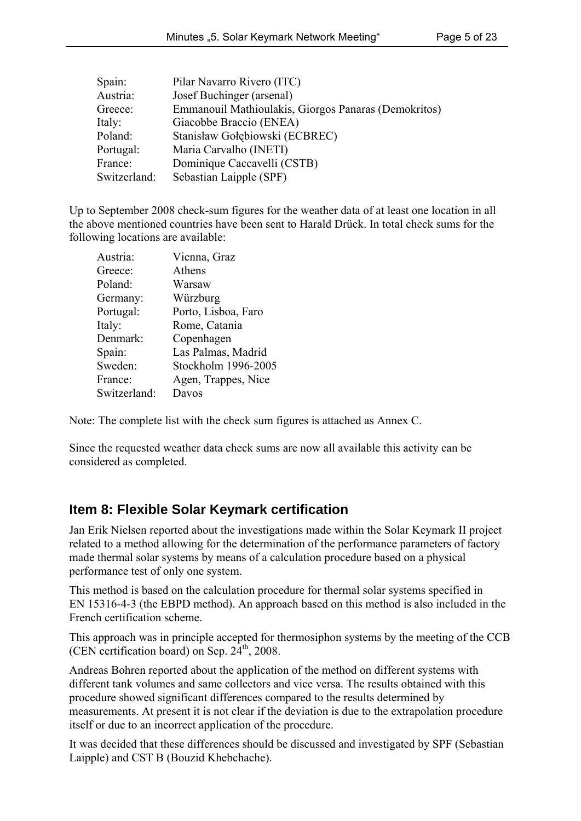| Spain:       | Pilar Navarro Rivero (ITC)                           |
|--------------|------------------------------------------------------|
| Austria:     | Josef Buchinger (arsenal)                            |
| Greece:      | Emmanouil Mathioulakis, Giorgos Panaras (Demokritos) |
| Italy:       | Giacobbe Braccio (ENEA)                              |
| Poland:      | Stanisław Gołębiowski (ECBREC)                       |
| Portugal:    | Maria Carvalho (INETI)                               |
| France:      | Dominique Caccavelli (CSTB)                          |
| Switzerland: | Sebastian Laipple (SPF)                              |

Up to September 2008 check-sum figures for the weather data of at least one location in all the above mentioned countries have been sent to Harald Drück. In total check sums for the following locations are available:

| Austria:     | Vienna, Graz        |
|--------------|---------------------|
| Greece:      | Athens              |
| Poland:      | Warsaw              |
| Germany:     | Würzburg            |
| Portugal:    | Porto, Lisboa, Faro |
| Italy:       | Rome, Catania       |
| Denmark:     | Copenhagen          |
| Spain:       | Las Palmas, Madrid  |
| Sweden:      | Stockholm 1996-2005 |
| France:      | Agen, Trappes, Nice |
| Switzerland: | Davos               |
|              |                     |

Note: The complete list with the check sum figures is attached as Annex C.

Since the requested weather data check sums are now all available this activity can be considered as completed.

# **Item 8: Flexible Solar Keymark certification**

Jan Erik Nielsen reported about the investigations made within the Solar Keymark II project related to a method allowing for the determination of the performance parameters of factory made thermal solar systems by means of a calculation procedure based on a physical performance test of only one system.

This method is based on the calculation procedure for thermal solar systems specified in EN 15316-4-3 (the EBPD method). An approach based on this method is also included in the French certification scheme.

This approach was in principle accepted for thermosiphon systems by the meeting of the CCB (CEN certification board) on Sep.  $24<sup>th</sup>$ , 2008.

Andreas Bohren reported about the application of the method on different systems with different tank volumes and same collectors and vice versa. The results obtained with this procedure showed significant differences compared to the results determined by measurements. At present it is not clear if the deviation is due to the extrapolation procedure itself or due to an incorrect application of the procedure.

It was decided that these differences should be discussed and investigated by SPF (Sebastian Laipple) and CST B (Bouzid Khebchache).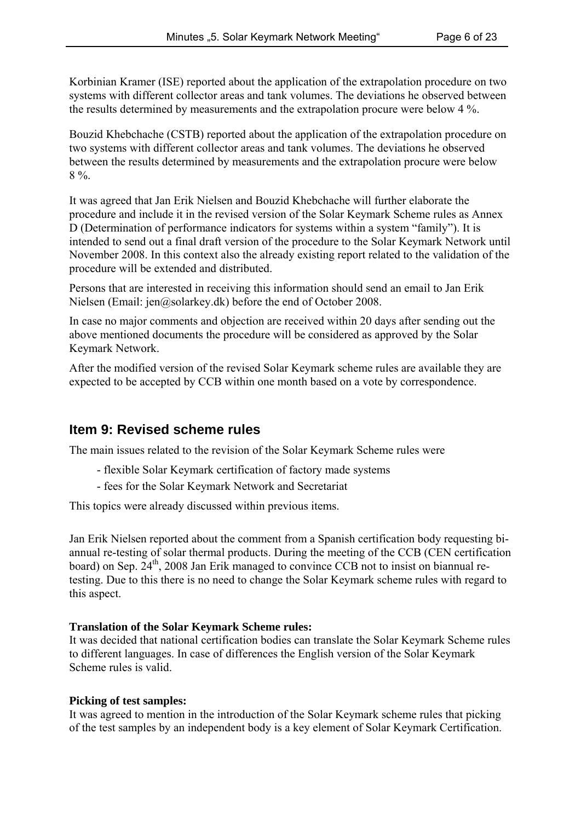Korbinian Kramer (ISE) reported about the application of the extrapolation procedure on two systems with different collector areas and tank volumes. The deviations he observed between the results determined by measurements and the extrapolation procure were below 4 %.

Bouzid Khebchache (CSTB) reported about the application of the extrapolation procedure on two systems with different collector areas and tank volumes. The deviations he observed between the results determined by measurements and the extrapolation procure were below 8 %.

It was agreed that Jan Erik Nielsen and Bouzid Khebchache will further elaborate the procedure and include it in the revised version of the Solar Keymark Scheme rules as Annex D (Determination of performance indicators for systems within a system "family"). It is intended to send out a final draft version of the procedure to the Solar Keymark Network until November 2008. In this context also the already existing report related to the validation of the procedure will be extended and distributed.

Persons that are interested in receiving this information should send an email to Jan Erik Nielsen (Email: jen@solarkey.dk) before the end of October 2008.

In case no major comments and objection are received within 20 days after sending out the above mentioned documents the procedure will be considered as approved by the Solar Keymark Network.

After the modified version of the revised Solar Keymark scheme rules are available they are expected to be accepted by CCB within one month based on a vote by correspondence.

#### **Item 9: Revised scheme rules**

The main issues related to the revision of the Solar Keymark Scheme rules were

- flexible Solar Keymark certification of factory made systems
- fees for the Solar Keymark Network and Secretariat

This topics were already discussed within previous items.

Jan Erik Nielsen reported about the comment from a Spanish certification body requesting biannual re-testing of solar thermal products. During the meeting of the CCB (CEN certification board) on Sep. 24<sup>th</sup>, 2008 Jan Erik managed to convince CCB not to insist on biannual retesting. Due to this there is no need to change the Solar Keymark scheme rules with regard to this aspect.

#### **Translation of the Solar Keymark Scheme rules:**

It was decided that national certification bodies can translate the Solar Keymark Scheme rules to different languages. In case of differences the English version of the Solar Keymark Scheme rules is valid.

#### **Picking of test samples:**

It was agreed to mention in the introduction of the Solar Keymark scheme rules that picking of the test samples by an independent body is a key element of Solar Keymark Certification.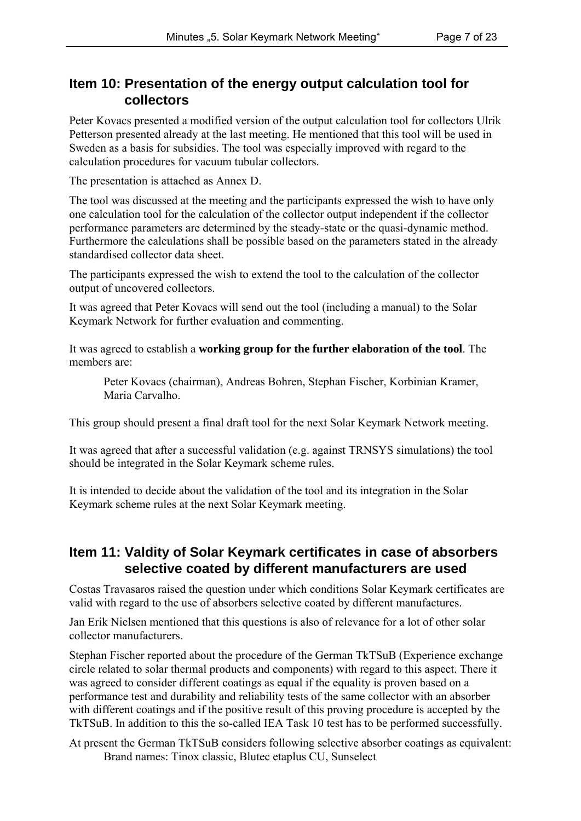#### **Item 10: Presentation of the energy output calculation tool for collectors**

Peter Kovacs presented a modified version of the output calculation tool for collectors Ulrik Petterson presented already at the last meeting. He mentioned that this tool will be used in Sweden as a basis for subsidies. The tool was especially improved with regard to the calculation procedures for vacuum tubular collectors.

The presentation is attached as Annex D.

The tool was discussed at the meeting and the participants expressed the wish to have only one calculation tool for the calculation of the collector output independent if the collector performance parameters are determined by the steady-state or the quasi-dynamic method. Furthermore the calculations shall be possible based on the parameters stated in the already standardised collector data sheet.

The participants expressed the wish to extend the tool to the calculation of the collector output of uncovered collectors.

It was agreed that Peter Kovacs will send out the tool (including a manual) to the Solar Keymark Network for further evaluation and commenting.

It was agreed to establish a **working group for the further elaboration of the tool**. The members are:

Peter Kovacs (chairman), Andreas Bohren, Stephan Fischer, Korbinian Kramer, Maria Carvalho.

This group should present a final draft tool for the next Solar Keymark Network meeting.

It was agreed that after a successful validation (e.g. against TRNSYS simulations) the tool should be integrated in the Solar Keymark scheme rules.

It is intended to decide about the validation of the tool and its integration in the Solar Keymark scheme rules at the next Solar Keymark meeting.

#### **Item 11: Valdity of Solar Keymark certificates in case of absorbers selective coated by different manufacturers are used**

Costas Travasaros raised the question under which conditions Solar Keymark certificates are valid with regard to the use of absorbers selective coated by different manufactures.

Jan Erik Nielsen mentioned that this questions is also of relevance for a lot of other solar collector manufacturers.

Stephan Fischer reported about the procedure of the German TkTSuB (Experience exchange circle related to solar thermal products and components) with regard to this aspect. There it was agreed to consider different coatings as equal if the equality is proven based on a performance test and durability and reliability tests of the same collector with an absorber with different coatings and if the positive result of this proving procedure is accepted by the TkTSuB. In addition to this the so-called IEA Task 10 test has to be performed successfully.

At present the German TkTSuB considers following selective absorber coatings as equivalent: Brand names: Tinox classic, Blutec etaplus CU, Sunselect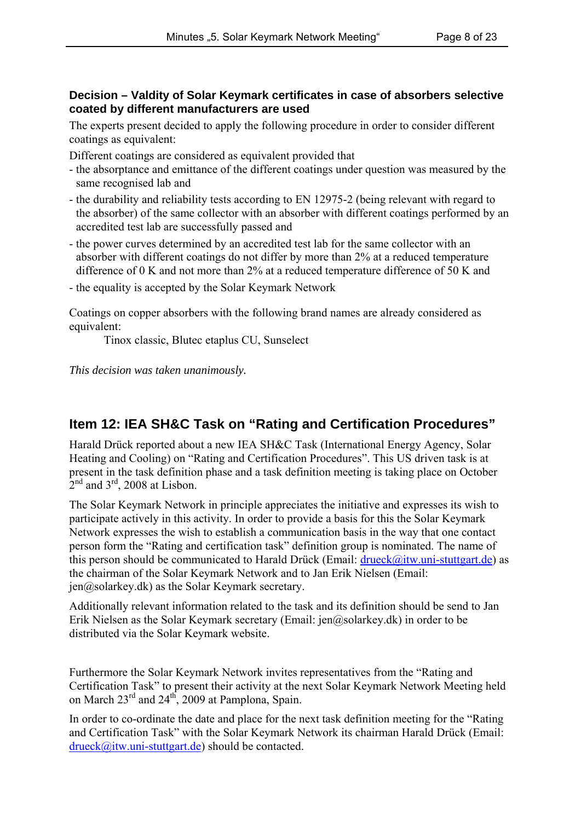#### **Decision – Valdity of Solar Keymark certificates in case of absorbers selective coated by different manufacturers are used**

The experts present decided to apply the following procedure in order to consider different coatings as equivalent:

Different coatings are considered as equivalent provided that

- the absorptance and emittance of the different coatings under question was measured by the same recognised lab and
- the durability and reliability tests according to EN 12975-2 (being relevant with regard to the absorber) of the same collector with an absorber with different coatings performed by an accredited test lab are successfully passed and
- the power curves determined by an accredited test lab for the same collector with an absorber with different coatings do not differ by more than 2% at a reduced temperature difference of 0 K and not more than 2% at a reduced temperature difference of 50 K and
- the equality is accepted by the Solar Keymark Network

Coatings on copper absorbers with the following brand names are already considered as equivalent:

Tinox classic, Blutec etaplus CU, Sunselect

*This decision was taken unanimously.*

# **Item 12: IEA SH&C Task on "Rating and Certification Procedures"**

Harald Drück reported about a new IEA SH&C Task (International Energy Agency, Solar Heating and Cooling) on "Rating and Certification Procedures". This US driven task is at present in the task definition phase and a task definition meeting is taking place on October  $2<sup>nd</sup>$  and  $3<sup>rd</sup>$ , 2008 at Lisbon.

The Solar Keymark Network in principle appreciates the initiative and expresses its wish to participate actively in this activity. In order to provide a basis for this the Solar Keymark Network expresses the wish to establish a communication basis in the way that one contact person form the "Rating and certification task" definition group is nominated. The name of this person should be communicated to Harald Drück (Email:  $drueck@itw.uni-stuttgart.de$ ) as the chairman of the Solar Keymark Network and to Jan Erik Nielsen (Email:  $jen@solarkey.dk)$  as the Solar Keymark secretary.

Additionally relevant information related to the task and its definition should be send to Jan Erik Nielsen as the Solar Keymark secretary (Email: jen@solarkey.dk) in order to be distributed via the Solar Keymark website.

Furthermore the Solar Keymark Network invites representatives from the "Rating and Certification Task" to present their activity at the next Solar Keymark Network Meeting held on March  $23<sup>rd</sup>$  and  $24<sup>th</sup>$ , 2009 at Pamplona, Spain.

In order to co-ordinate the date and place for the next task definition meeting for the "Rating and Certification Task" with the Solar Keymark Network its chairman Harald Drück (Email: drueck@itw.uni-stuttgart.de) should be contacted.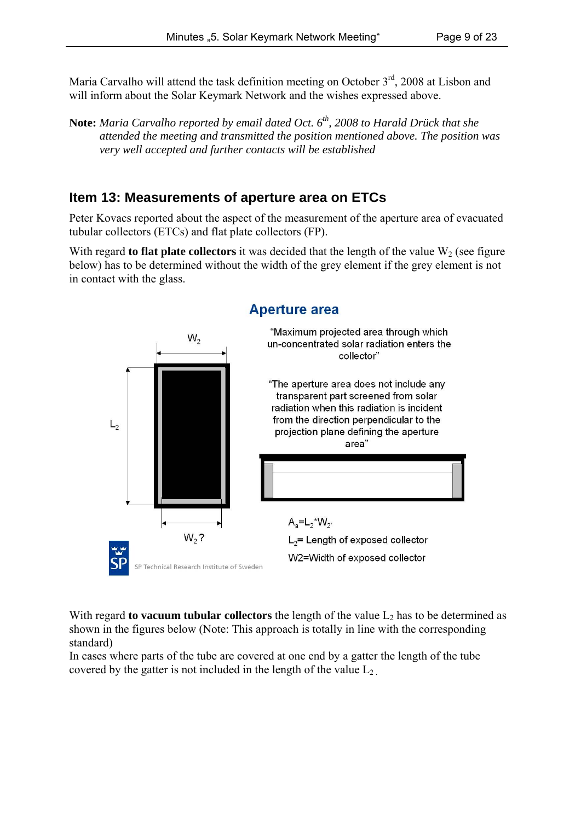Maria Carvalho will attend the task definition meeting on October  $3<sup>rd</sup>$ , 2008 at Lisbon and will inform about the Solar Keymark Network and the wishes expressed above.

**Note:** *Maria Carvalho reported by email dated Oct. 6th, 2008 to Harald Drück that she attended the meeting and transmitted the position mentioned above. The position was very well accepted and further contacts will be established*

### **Item 13: Measurements of aperture area on ETCs**

Peter Kovacs reported about the aspect of the measurement of the aperture area of evacuated tubular collectors (ETCs) and flat plate collectors (FP).

With regard **to flat plate collectors** it was decided that the length of the value  $W<sub>2</sub>$  (see figure below) has to be determined without the width of the grey element if the grey element is not in contact with the glass.



With regard **to vacuum tubular collectors** the length of the value  $L_2$  has to be determined as shown in the figures below (Note: This approach is totally in line with the corresponding standard)

In cases where parts of the tube are covered at one end by a gatter the length of the tube covered by the gatter is not included in the length of the value  $L_2$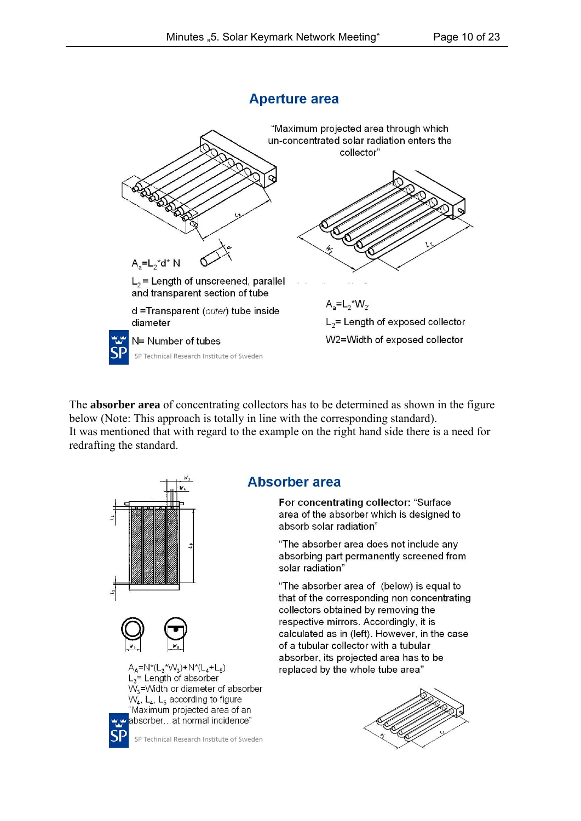#### **Aperture area**



The **absorber area** of concentrating collectors has to be determined as shown in the figure below (Note: This approach is totally in line with the corresponding standard). It was mentioned that with regard to the example on the right hand side there is a need for redrafting the standard.



#### **Absorber area**

For concentrating collector: "Surface area of the absorber which is designed to absorb solar radiation"

"The absorber area does not include any absorbing part permanently screened from solar radiation"

"The absorber area of (below) is equal to that of the corresponding non concentrating collectors obtained by removing the respective mirrors. Accordingly, it is calculated as in (left). However, in the case of a tubular collector with a tubular absorber, its projected area has to be replaced by the whole tube area"

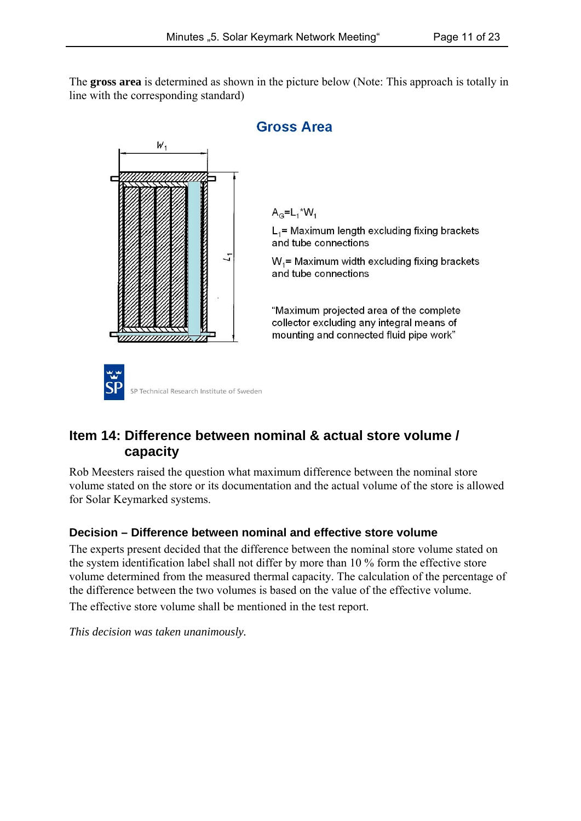The **gross area** is determined as shown in the picture below (Note: This approach is totally in line with the corresponding standard)



# **Item 14: Difference between nominal & actual store volume / capacity**

Rob Meesters raised the question what maximum difference between the nominal store volume stated on the store or its documentation and the actual volume of the store is allowed for Solar Keymarked systems.

#### **Decision – Difference between nominal and effective store volume**

The experts present decided that the difference between the nominal store volume stated on the system identification label shall not differ by more than 10 % form the effective store volume determined from the measured thermal capacity. The calculation of the percentage of the difference between the two volumes is based on the value of the effective volume. The effective store volume shall be mentioned in the test report.

*This decision was taken unanimously.*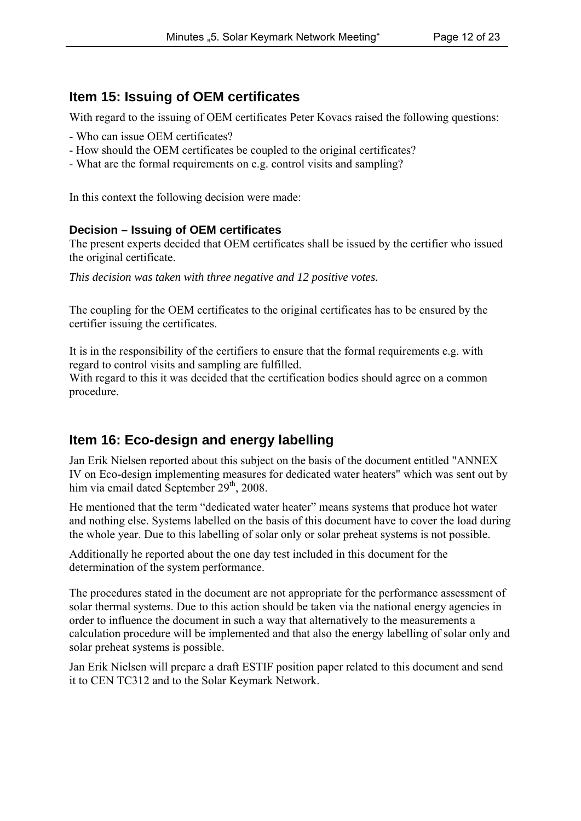# **Item 15: Issuing of OEM certificates**

With regard to the issuing of OEM certificates Peter Kovacs raised the following questions:

- Who can issue OEM certificates?
- How should the OEM certificates be coupled to the original certificates?
- What are the formal requirements on e.g. control visits and sampling?

In this context the following decision were made:

#### **Decision – Issuing of OEM certificates**

The present experts decided that OEM certificates shall be issued by the certifier who issued the original certificate.

*This decision was taken with three negative and 12 positive votes.*

The coupling for the OEM certificates to the original certificates has to be ensured by the certifier issuing the certificates.

It is in the responsibility of the certifiers to ensure that the formal requirements e.g. with regard to control visits and sampling are fulfilled.

With regard to this it was decided that the certification bodies should agree on a common procedure.

# **Item 16: Eco-design and energy labelling**

Jan Erik Nielsen reported about this subject on the basis of the document entitled "ANNEX IV on Eco-design implementing measures for dedicated water heaters" which was sent out by him via email dated September 29<sup>th</sup>, 2008.

He mentioned that the term "dedicated water heater" means systems that produce hot water and nothing else. Systems labelled on the basis of this document have to cover the load during the whole year. Due to this labelling of solar only or solar preheat systems is not possible.

Additionally he reported about the one day test included in this document for the determination of the system performance.

The procedures stated in the document are not appropriate for the performance assessment of solar thermal systems. Due to this action should be taken via the national energy agencies in order to influence the document in such a way that alternatively to the measurements a calculation procedure will be implemented and that also the energy labelling of solar only and solar preheat systems is possible.

Jan Erik Nielsen will prepare a draft ESTIF position paper related to this document and send it to CEN TC312 and to the Solar Keymark Network.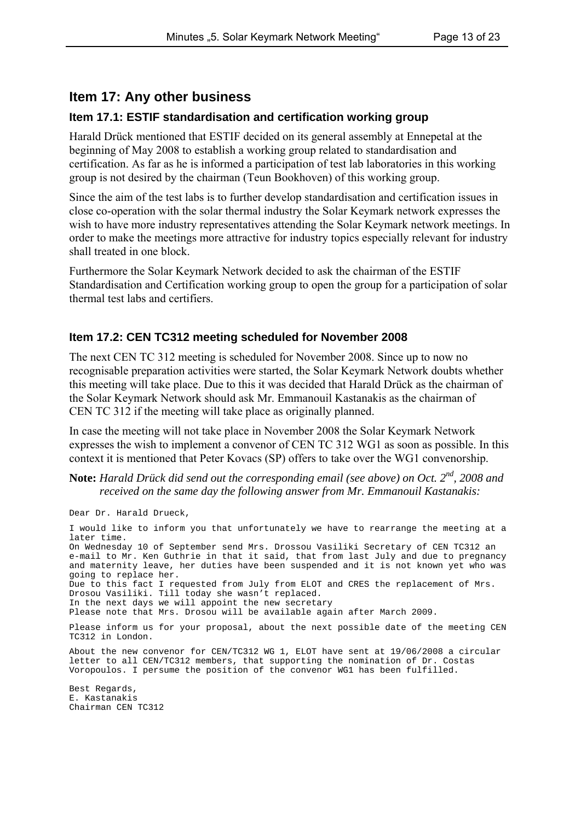#### **Item 17: Any other business**

#### **Item 17.1: ESTIF standardisation and certification working group**

Harald Drück mentioned that ESTIF decided on its general assembly at Ennepetal at the beginning of May 2008 to establish a working group related to standardisation and certification. As far as he is informed a participation of test lab laboratories in this working group is not desired by the chairman (Teun Bookhoven) of this working group.

Since the aim of the test labs is to further develop standardisation and certification issues in close co-operation with the solar thermal industry the Solar Keymark network expresses the wish to have more industry representatives attending the Solar Keymark network meetings. In order to make the meetings more attractive for industry topics especially relevant for industry shall treated in one block.

Furthermore the Solar Keymark Network decided to ask the chairman of the ESTIF Standardisation and Certification working group to open the group for a participation of solar thermal test labs and certifiers.

#### **Item 17.2: CEN TC312 meeting scheduled for November 2008**

The next CEN TC 312 meeting is scheduled for November 2008. Since up to now no recognisable preparation activities were started, the Solar Keymark Network doubts whether this meeting will take place. Due to this it was decided that Harald Drück as the chairman of the Solar Keymark Network should ask Mr. Emmanouil Kastanakis as the chairman of CEN TC 312 if the meeting will take place as originally planned.

In case the meeting will not take place in November 2008 the Solar Keymark Network expresses the wish to implement a convenor of CEN TC 312 WG1 as soon as possible. In this context it is mentioned that Peter Kovacs (SP) offers to take over the WG1 convenorship.

**Note:** *Harald Drück did send out the corresponding email (see above) on Oct.* 2<sup>nd</sup>, 2008 and *received on the same day the following answer from Mr. Emmanouil Kastanakis:*

Dear Dr. Harald Drueck,

I would like to inform you that unfortunately we have to rearrange the meeting at a later time. On Wednesday 10 of September send Mrs. Drossou Vasiliki Secretary of CEN TC312 an e-mail to Mr. Ken Guthrie in that it said, that from last July and due to pregnancy and maternity leave, her duties have been suspended and it is not known yet who was going to replace her. Due to this fact I requested from July from ELOT and CRES the replacement of Mrs. Drosou Vasiliki. Till today she wasn't replaced. In the next days we will appoint the new secretary Please note that Mrs. Drosou will be available again after March 2009. Please inform us for your proposal, about the next possible date of the meeting CEN TC312 in London. About the new convenor for CEN/TC312 WG 1, ELOT have sent at 19/06/2008 a circular letter to all CEN/TC312 members, that supporting the nomination of Dr. Costas Voropoulos. I persume the position of the convenor WG1 has been fulfilled. Best Regards, E. Kastanakis Chairman CEN TC312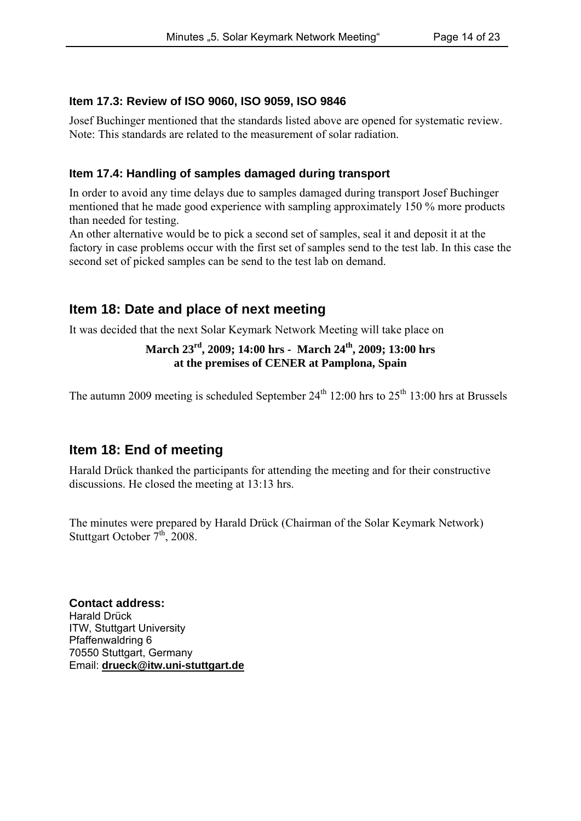#### **Item 17.3: Review of ISO 9060, ISO 9059, ISO 9846**

Josef Buchinger mentioned that the standards listed above are opened for systematic review. Note: This standards are related to the measurement of solar radiation.

#### **Item 17.4: Handling of samples damaged during transport**

In order to avoid any time delays due to samples damaged during transport Josef Buchinger mentioned that he made good experience with sampling approximately 150 % more products than needed for testing.

An other alternative would be to pick a second set of samples, seal it and deposit it at the factory in case problems occur with the first set of samples send to the test lab. In this case the second set of picked samples can be send to the test lab on demand.

# **Item 18: Date and place of next meeting**

It was decided that the next Solar Keymark Network Meeting will take place on

#### **March 23rd, 2009; 14:00 hrs - March 24th, 2009; 13:00 hrs at the premises of CENER at Pamplona, Spain**

The autumn 2009 meeting is scheduled September  $24<sup>th</sup> 12:00$  hrs to  $25<sup>th</sup> 13:00$  hrs at Brussels

# **Item 18: End of meeting**

Harald Drück thanked the participants for attending the meeting and for their constructive discussions. He closed the meeting at 13:13 hrs.

The minutes were prepared by Harald Drück (Chairman of the Solar Keymark Network) Stuttgart October  $7<sup>th</sup>$ , 2008.

**Contact address:** Harald Drück ITW, Stuttgart University Pfaffenwaldring 6 70550 Stuttgart, Germany Email: **drueck@itw.uni-stuttgart.de**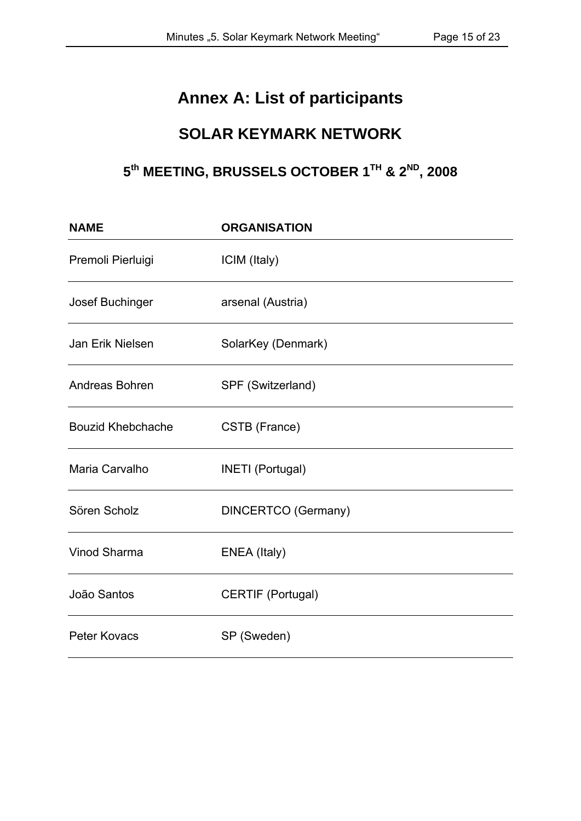# **Annex A: List of participants**

# **SOLAR KEYMARK NETWORK**

# **5th MEETING, BRUSSELS OCTOBER 1TH & 2ND, 2008**

| <b>NAME</b>              | <b>ORGANISATION</b>        |
|--------------------------|----------------------------|
| Premoli Pierluigi        | ICIM (Italy)               |
| Josef Buchinger          | arsenal (Austria)          |
| Jan Erik Nielsen         | SolarKey (Denmark)         |
| Andreas Bohren           | SPF (Switzerland)          |
| <b>Bouzid Khebchache</b> | CSTB (France)              |
| Maria Carvalho           | <b>INETI</b> (Portugal)    |
| Sören Scholz             | <b>DINCERTCO</b> (Germany) |
| Vinod Sharma             | ENEA (Italy)               |
| João Santos              | <b>CERTIF (Portugal)</b>   |
| <b>Peter Kovacs</b>      | SP (Sweden)                |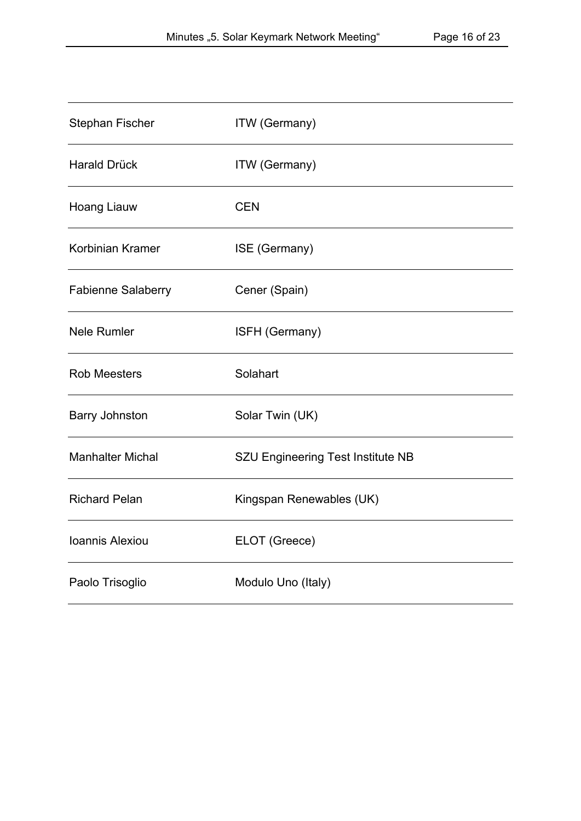| Stephan Fischer           | <b>ITW</b> (Germany)                     |
|---------------------------|------------------------------------------|
| <b>Harald Drück</b>       | ITW (Germany)                            |
| Hoang Liauw               | <b>CEN</b>                               |
| Korbinian Kramer          | ISE (Germany)                            |
| <b>Fabienne Salaberry</b> | Cener (Spain)                            |
| <b>Nele Rumler</b>        | ISFH (Germany)                           |
| <b>Rob Meesters</b>       | Solahart                                 |
| <b>Barry Johnston</b>     | Solar Twin (UK)                          |
| <b>Manhalter Michal</b>   | <b>SZU Engineering Test Institute NB</b> |
| <b>Richard Pelan</b>      | Kingspan Renewables (UK)                 |
| Ioannis Alexiou           | ELOT (Greece)                            |
| Paolo Trisoglio           | Modulo Uno (Italy)                       |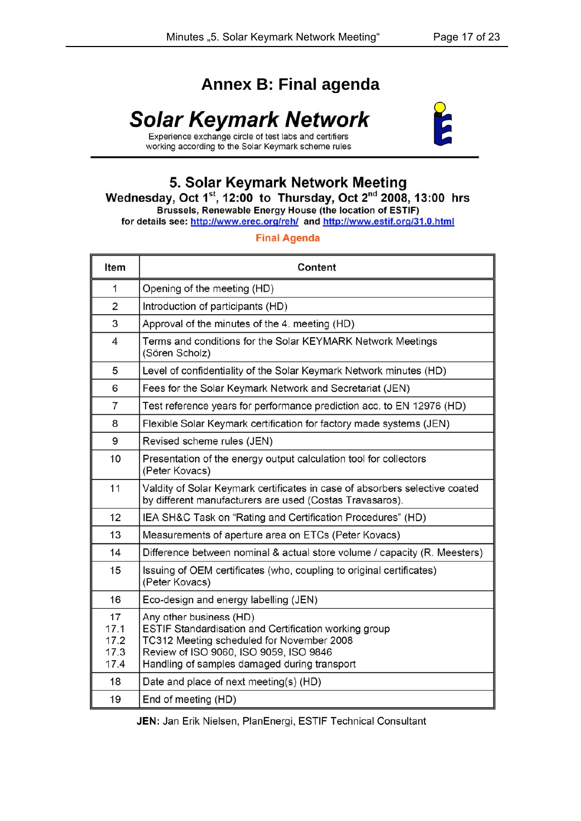# **Annex B: Final agenda**

# Solar Keymark Network



working according to the Solar Keymark scheme rules

# 5. Solar Keymark Network Meeting<br>Wednesday, Oct 1st, 12:00 to Thursday, Oct 2<sup>nd</sup> 2008, 13:00 hrs<br>Brussels, Renewable Energy House (the location of ESTIF)

for details see: http://www.erec.org/reh/ and http://www.estif.org/31.0.html

#### **Final Agenda**

| Item                               | Content                                                                                                                                                                                                                 |
|------------------------------------|-------------------------------------------------------------------------------------------------------------------------------------------------------------------------------------------------------------------------|
| 1                                  | Opening of the meeting (HD)                                                                                                                                                                                             |
| 2                                  | Introduction of participants (HD)                                                                                                                                                                                       |
| 3                                  | Approval of the minutes of the 4. meeting (HD)                                                                                                                                                                          |
| 4                                  | Terms and conditions for the Solar KEYMARK Network Meetings<br>(Sören Scholz)                                                                                                                                           |
| 5                                  | Level of confidentiality of the Solar Keymark Network minutes (HD)                                                                                                                                                      |
| 6                                  | Fees for the Solar Keymark Network and Secretariat (JEN)                                                                                                                                                                |
| $\overline{7}$                     | Test reference years for performance prediction acc. to EN 12976 (HD)                                                                                                                                                   |
| 8                                  | Flexible Solar Keymark certification for factory made systems (JEN)                                                                                                                                                     |
| 9                                  | Revised scheme rules (JEN)                                                                                                                                                                                              |
| 10                                 | Presentation of the energy output calculation tool for collectors<br>(Peter Kovacs)                                                                                                                                     |
| 11                                 | Valdity of Solar Keymark certificates in case of absorbers selective coated<br>by different manufacturers are used (Costas Travasaros).                                                                                 |
| 12                                 | IEA SH&C Task on "Rating and Certification Procedures" (HD)                                                                                                                                                             |
| 13                                 | Measurements of aperture area on ETCs (Peter Kovacs)                                                                                                                                                                    |
| 14                                 | Difference between nominal & actual store volume / capacity (R. Meesters)                                                                                                                                               |
| 15                                 | Issuing of OEM certificates (who, coupling to original certificates)<br>(Peter Kovacs)                                                                                                                                  |
| 16                                 | Eco-design and energy labelling (JEN)                                                                                                                                                                                   |
| 17<br>17.1<br>17.2<br>17.3<br>17.4 | Any other business (HD)<br>ESTIF Standardisation and Certification working group<br>TC312 Meeting scheduled for November 2008<br>Review of ISO 9060, ISO 9059, ISO 9846<br>Handling of samples damaged during transport |
| 18                                 | Date and place of next meeting(s) (HD)                                                                                                                                                                                  |
| 19                                 | End of meeting (HD)                                                                                                                                                                                                     |

JEN: Jan Erik Nielsen, PlanEnergi, ESTIF Technical Consultant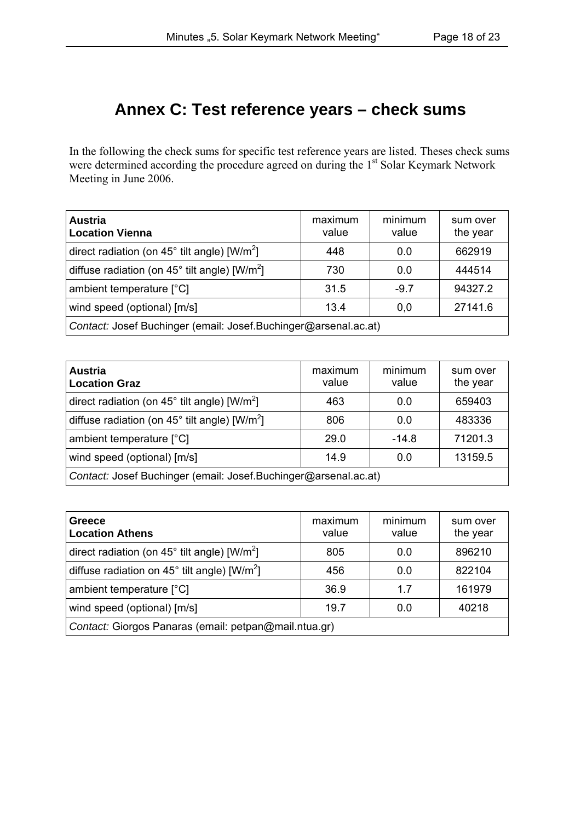# **Annex C: Test reference years – check sums**

In the following the check sums for specific test reference years are listed. Theses check sums were determined according the procedure agreed on during the 1<sup>st</sup> Solar Keymark Network Meeting in June 2006.

| <b>Austria</b><br><b>Location Vienna</b>                           | maximum<br>value | minimum<br>value | sum over<br>the year |
|--------------------------------------------------------------------|------------------|------------------|----------------------|
| direct radiation (on 45° tilt angle) [W/m <sup>2</sup> ]           | 448              | 0.0              | 662919               |
| diffuse radiation (on $45^{\circ}$ tilt angle) [W/m <sup>2</sup> ] | 730              | 0.0              | 444514               |
| ambient temperature [°C]                                           | 31.5             | $-9.7$           | 94327.2              |
| wind speed (optional) [m/s]                                        | 13.4             | 0,0              | 27141.6              |
| Contact: Josef Buchinger (email: Josef.Buchinger@arsenal.ac.at)    |                  |                  |                      |

| <b>Austria</b><br><b>Location Graz</b>                             | maximum<br>value | minimum<br>value | sum over<br>the year |
|--------------------------------------------------------------------|------------------|------------------|----------------------|
| direct radiation (on $45^{\circ}$ tilt angle) [W/m <sup>2</sup> ]  | 463              | 0.0              | 659403               |
| diffuse radiation (on $45^{\circ}$ tilt angle) [W/m <sup>2</sup> ] | 806              | 0.0              | 483336               |
| ambient temperature [°C]                                           | 29.0             | $-14.8$          | 71201.3              |
| wind speed (optional) [m/s]                                        | 14.9             | 0.0              | 13159.5              |
| Contact: Josef Buchinger (email: Josef.Buchinger@arsenal.ac.at)    |                  |                  |                      |

| Greece<br><b>Location Athens</b>                                  | maximum<br>value | minimum<br>value | sum over<br>the year |
|-------------------------------------------------------------------|------------------|------------------|----------------------|
| direct radiation (on $45^{\circ}$ tilt angle) [W/m <sup>2</sup> ] | 805              | 0.0              | 896210               |
| diffuse radiation on $45^{\circ}$ tilt angle) [W/m <sup>2</sup> ] | 456              | 0.0              | 822104               |
| ambient temperature [°C]                                          | 36.9             | 17               | 161979               |
| wind speed (optional) [m/s]                                       | 19.7             | 0.0              | 40218                |
| Contact: Giorgos Panaras (email: petpan@mail.ntua.gr)             |                  |                  |                      |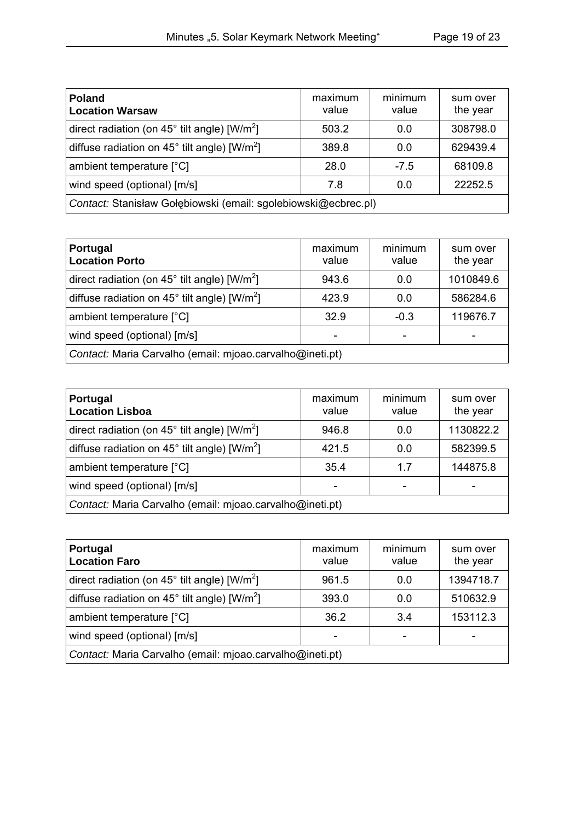| <b>Poland</b><br><b>Location Warsaw</b>                            | maximum<br>value | minimum<br>value | sum over<br>the year |
|--------------------------------------------------------------------|------------------|------------------|----------------------|
| direct radiation (on $45^{\circ}$ tilt angle) [W/m <sup>2</sup> ]  | 503.2            | 0.0              | 308798.0             |
| diffuse radiation on 45 $^{\circ}$ tilt angle) [W/m <sup>2</sup> ] | 389.8            | 0.0              | 629439.4             |
| ambient temperature [°C]                                           | 28.0             | $-7.5$           | 68109.8              |
| wind speed (optional) [m/s]                                        | 7.8              | 0.0              | 22252.5              |
| Contact: Stanisław Gołębiowski (email: sgolebiowski@ecbrec.pl)     |                  |                  |                      |

| <b>Portugal</b><br><b>Location Porto</b>                           | maximum<br>value | minimum<br>value | sum over<br>the year |
|--------------------------------------------------------------------|------------------|------------------|----------------------|
| direct radiation (on 45° tilt angle) [W/m <sup>2</sup> ]           | 943.6            | 0.0              | 1010849.6            |
| diffuse radiation on 45 $^{\circ}$ tilt angle) [W/m <sup>2</sup> ] | 423.9            | 0.0              | 586284.6             |
| ambient temperature [°C]                                           | 32.9             | $-0.3$           | 119676.7             |
| wind speed (optional) [m/s]                                        |                  |                  |                      |
| Contact: Maria Carvalho (email: mjoao.carvalho@ineti.pt)           |                  |                  |                      |

| Portugal<br><b>Location Lisboa</b>                                 | maximum<br>value | minimum<br>value | sum over<br>the year |
|--------------------------------------------------------------------|------------------|------------------|----------------------|
| direct radiation (on $45^{\circ}$ tilt angle) [W/m <sup>2</sup> ]  | 946.8            | 0.0              | 1130822.2            |
| diffuse radiation on 45 $^{\circ}$ tilt angle) [W/m <sup>2</sup> ] | 421.5            | 0.0              | 582399.5             |
| ambient temperature [°C]                                           | 35.4             | 17               | 144875.8             |
| wind speed (optional) [m/s]                                        |                  |                  |                      |
| Contact: Maria Carvalho (email: mjoao.carvalho@ineti.pt)           |                  |                  |                      |

| <b>Portugal</b><br><b>Location Faro</b>                           | maximum<br>value | minimum<br>value | sum over<br>the year |
|-------------------------------------------------------------------|------------------|------------------|----------------------|
| direct radiation (on $45^{\circ}$ tilt angle) [W/m <sup>2</sup> ] | 961.5            | 0.0              | 1394718.7            |
| diffuse radiation on $45^{\circ}$ tilt angle) [W/m <sup>2</sup> ] | 393.0            | 0.0              | 510632.9             |
| ambient temperature [°C]                                          | 36.2             | 3.4              | 153112.3             |
| wind speed (optional) [m/s]                                       |                  |                  |                      |
| Contact: Maria Carvalho (email: mjoao.carvalho@ineti.pt)          |                  |                  |                      |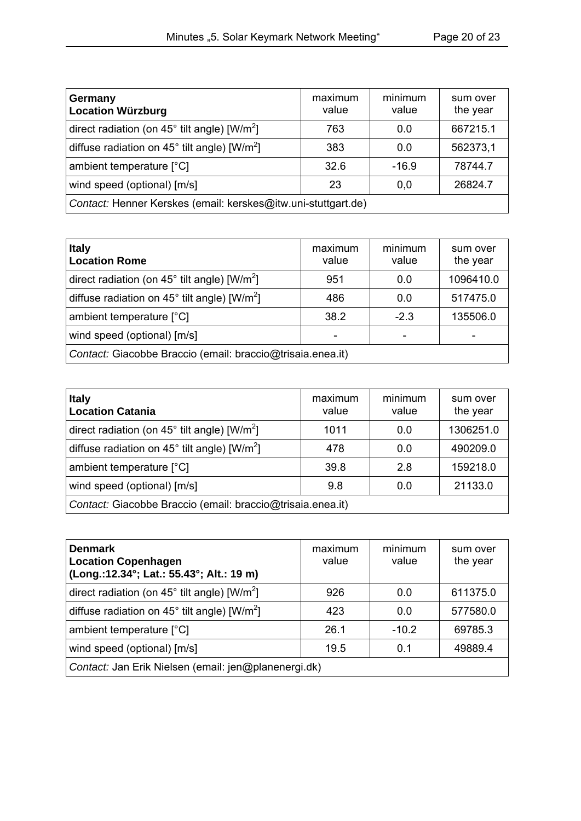| Germany<br><b>Location Würzburg</b>                               | maximum<br>value | minimum<br>value | sum over<br>the year |
|-------------------------------------------------------------------|------------------|------------------|----------------------|
| direct radiation (on 45° tilt angle) [W/m <sup>2</sup> ]          | 763              | 0.0              | 667215.1             |
| diffuse radiation on $45^{\circ}$ tilt angle) [W/m <sup>2</sup> ] | 383              | 0.0              | 562373,1             |
| ambient temperature [°C]                                          | 32.6             | $-16.9$          | 78744.7              |
| wind speed (optional) [m/s]                                       | 23               | 0,0              | 26824.7              |
| Contact: Henner Kerskes (email: kerskes@itw.uni-stuttgart.de)     |                  |                  |                      |

| <b>Italy</b><br><b>Location Rome</b>                               | maximum<br>value | minimum<br>value | sum over<br>the year |
|--------------------------------------------------------------------|------------------|------------------|----------------------|
| direct radiation (on $45^{\circ}$ tilt angle) [W/m <sup>2</sup> ]  | 951              | 0.0              | 1096410.0            |
| diffuse radiation on 45 $^{\circ}$ tilt angle) [W/m <sup>2</sup> ] | 486              | 0.0              | 517475.0             |
| ambient temperature [°C]                                           | 38.2             | $-2.3$           | 135506.0             |
| wind speed (optional) [m/s]                                        |                  |                  |                      |
| Contact: Giacobbe Braccio (email: braccio@trisaia.enea.it)         |                  |                  |                      |

| <b>Italy</b><br><b>Location Catania</b>                            | maximum<br>value | minimum<br>value | sum over<br>the year |
|--------------------------------------------------------------------|------------------|------------------|----------------------|
| direct radiation (on $45^{\circ}$ tilt angle) [W/m <sup>2</sup> ]  | 1011             | 0.0              | 1306251.0            |
| diffuse radiation on 45 $^{\circ}$ tilt angle) [W/m <sup>2</sup> ] | 478              | 0.0              | 490209.0             |
| ambient temperature [°C]                                           | 39.8             | 2.8              | 159218.0             |
| wind speed (optional) [m/s]                                        | 9.8              | 0.0              | 21133.0              |
| Contact: Giacobbe Braccio (email: braccio@trisaia.enea.it)         |                  |                  |                      |

| <b>Denmark</b><br><b>Location Copenhagen</b><br>(Long.:12.34°; Lat.: 55.43°; Alt.: 19 m) | maximum<br>value | minimum<br>value | sum over<br>the year |
|------------------------------------------------------------------------------------------|------------------|------------------|----------------------|
| direct radiation (on $45^{\circ}$ tilt angle) [W/m <sup>2</sup> ]                        | 926              | 0.0              | 611375.0             |
| diffuse radiation on 45 $^{\circ}$ tilt angle) [W/m <sup>2</sup> ]                       | 423              | 0.0              | 577580.0             |
| ambient temperature [°C]                                                                 | 26.1             | $-10.2$          | 69785.3              |
| wind speed (optional) [m/s]                                                              | 19.5             | 0.1              | 49889.4              |
| Contact: Jan Erik Nielsen (email: jen@planenergi.dk)                                     |                  |                  |                      |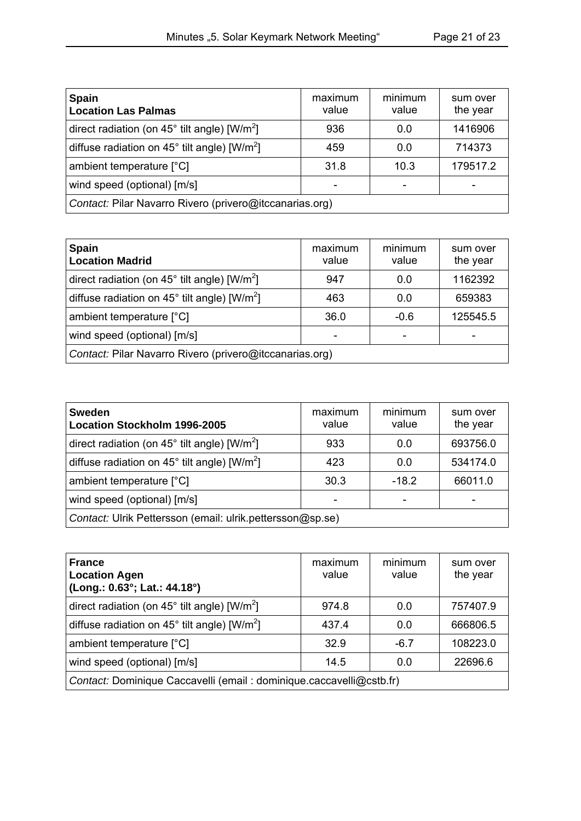| <b>Spain</b><br><b>Location Las Palmas</b>                        | maximum<br>value | minimum<br>value | sum over<br>the year |
|-------------------------------------------------------------------|------------------|------------------|----------------------|
| direct radiation (on $45^{\circ}$ tilt angle) [W/m <sup>2</sup> ] | 936              | 0.0              | 1416906              |
| diffuse radiation on $45^{\circ}$ tilt angle) [W/m <sup>2</sup> ] | 459              | 0.0              | 714373               |
| ambient temperature [°C]                                          | 31.8             | 10.3             | 179517.2             |
| wind speed (optional) [m/s]                                       |                  |                  |                      |
| Contact: Pilar Navarro Rivero (privero@itccanarias.org)           |                  |                  |                      |

| <b>Spain</b><br><b>Location Madrid</b>                             | maximum<br>value | minimum<br>value | sum over<br>the year |
|--------------------------------------------------------------------|------------------|------------------|----------------------|
| direct radiation (on $45^{\circ}$ tilt angle) [W/m <sup>2</sup> ]  | 947              | 0.0              | 1162392              |
| diffuse radiation on 45 $^{\circ}$ tilt angle) [W/m <sup>2</sup> ] | 463              | 0.0              | 659383               |
| ambient temperature [°C]                                           | 36.0             | $-0.6$           | 125545.5             |
| wind speed (optional) [m/s]                                        |                  |                  |                      |
| Contact: Pilar Navarro Rivero (privero@itccanarias.org)            |                  |                  |                      |

| <b>Sweden</b><br><b>Location Stockholm 1996-2005</b>              | maximum<br>value | minimum<br>value | sum over<br>the year |
|-------------------------------------------------------------------|------------------|------------------|----------------------|
| direct radiation (on $45^{\circ}$ tilt angle) [W/m <sup>2</sup> ] | 933              | 0.0              | 693756.0             |
| diffuse radiation on $45^{\circ}$ tilt angle) [W/m <sup>2</sup> ] | 423              | 0.0              | 534174.0             |
| ambient temperature [°C]                                          | 30.3             | $-18.2$          | 66011.0              |
| wind speed (optional) [m/s]                                       |                  |                  |                      |
| Contact: Ulrik Pettersson (email: ulrik.pettersson@sp.se)         |                  |                  |                      |

| <b>France</b><br><b>Location Agen</b><br>(Long.: 0.63°; Lat.: 44.18°) | maximum<br>value | minimum<br>value | sum over<br>the year |
|-----------------------------------------------------------------------|------------------|------------------|----------------------|
| direct radiation (on $45^{\circ}$ tilt angle) [W/m <sup>2</sup> ]     | 974.8            | 0.0              | 757407.9             |
| diffuse radiation on $45^{\circ}$ tilt angle) [W/m <sup>2</sup> ]     | 437.4            | 0.0              | 666806.5             |
| ambient temperature [°C]                                              | 32.9             | $-6.7$           | 108223.0             |
| wind speed (optional) [m/s]                                           | 14.5             | 0.0              | 22696.6              |
| Contact: Dominique Caccavelli (email: dominique.caccavelli@cstb.fr)   |                  |                  |                      |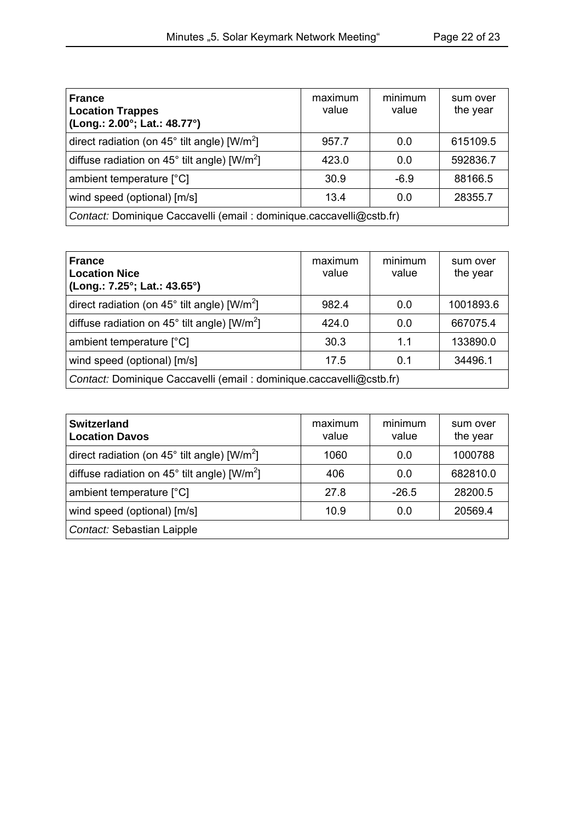| <b>France</b><br><b>Location Trappes</b><br>(Long.: 2.00°; Lat.: 48.77°) | maximum<br>value | minimum<br>value | sum over<br>the year |
|--------------------------------------------------------------------------|------------------|------------------|----------------------|
| direct radiation (on $45^{\circ}$ tilt angle) [W/m <sup>2</sup> ]        | 957.7            | 0.0              | 615109.5             |
| diffuse radiation on 45 $^{\circ}$ tilt angle) [W/m <sup>2</sup> ]       | 423.0            | 0.0              | 592836.7             |
| ambient temperature [°C]                                                 | 30.9             | $-6.9$           | 88166.5              |
| wind speed (optional) [m/s]                                              | 13.4             | 0.0              | 28355.7              |
| Contact: Dominique Caccavelli (email: dominique.caccavelli@cstb.fr)      |                  |                  |                      |

| <b>France</b><br><b>Location Nice</b><br>(Long.: 7.25°; Lat.: 43.65°) | maximum<br>value | minimum<br>value | sum over<br>the year |
|-----------------------------------------------------------------------|------------------|------------------|----------------------|
| direct radiation (on $45^{\circ}$ tilt angle) [W/m <sup>2</sup> ]     | 982.4            | 0.0              | 1001893.6            |
| diffuse radiation on $45^{\circ}$ tilt angle) [W/m <sup>2</sup> ]     | 424.0            | 0.0              | 667075.4             |
| ambient temperature [°C]                                              | 30.3             | 11               | 133890.0             |
| wind speed (optional) [m/s]                                           | 17.5             | 0.1              | 34496.1              |
| Contact: Dominique Caccavelli (email: dominique.caccavelli@cstb.fr)   |                  |                  |                      |

| <b>Switzerland</b><br><b>Location Davos</b>                        | maximum<br>value | minimum<br>value | sum over<br>the year |
|--------------------------------------------------------------------|------------------|------------------|----------------------|
| direct radiation (on $45^{\circ}$ tilt angle) [W/m <sup>2</sup> ]  | 1060             | 0.0              | 1000788              |
| diffuse radiation on 45 $^{\circ}$ tilt angle) [W/m <sup>2</sup> ] | 406              | 0.0              | 682810.0             |
| ambient temperature [°C]                                           | 27.8             | $-26.5$          | 28200.5              |
| wind speed (optional) [m/s]                                        | 10.9             | 0.0              | 20569.4              |
| Contact: Sebastian Laipple                                         |                  |                  |                      |